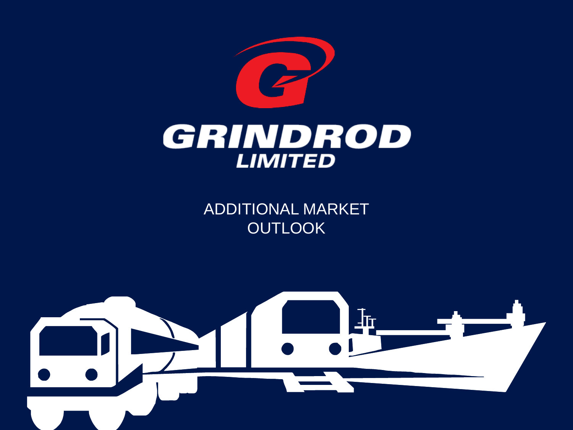

ADDITIONAL MARKET OUTLOOK

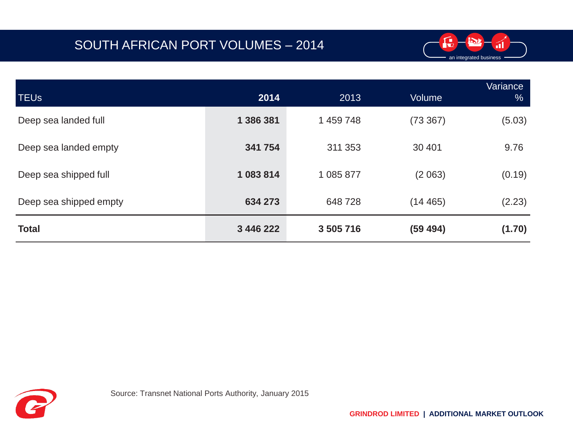

| <b>TEU<sub>s</sub></b> | 2014      | 2013      | Volume   | Variance<br>$\frac{9}{6}$ |
|------------------------|-----------|-----------|----------|---------------------------|
| Deep sea landed full   | 1 386 381 | 1 459 748 | (73 367) | (5.03)                    |
| Deep sea landed empty  | 341 754   | 311 353   | 30 401   | 9.76                      |
| Deep sea shipped full  | 1 083 814 | 1 085 877 | (2063)   | (0.19)                    |
| Deep sea shipped empty | 634 273   | 648728    | (14465)  | (2.23)                    |
| <b>Total</b>           | 3 446 222 | 3 505 716 | (59 494) | (1.70)                    |

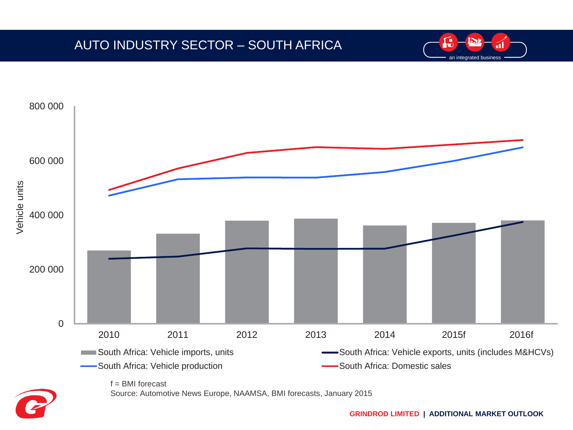### AUTO INDUSTRY SECTOR – SOUTH AFRICA





Source: Automotive News Europe, NAAMSA, BMI forecasts, January 2015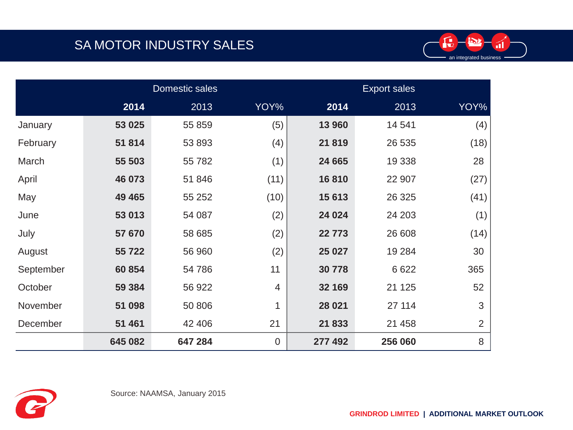# SA MOTOR INDUSTRY SALES



|           | Domestic sales |         |                |         |         |                |
|-----------|----------------|---------|----------------|---------|---------|----------------|
|           | 2014           | 2013    | YOY%           | 2014    | 2013    | YOY%           |
| January   | 53 025         | 55 859  | (5)            | 13 960  | 14 541  | (4)            |
| February  | 51814          | 53 893  | (4)            | 21819   | 26 535  | (18)           |
| March     | 55 503         | 55 782  | (1)            | 24 665  | 19 3 38 | 28             |
| April     | 46 073         | 51 846  | (11)           | 16810   | 22 907  | (27)           |
| May       | 49 4 65        | 55 252  | (10)           | 15 613  | 26 3 25 | (41)           |
| June      | 53 013         | 54 087  | (2)            | 24 0 24 | 24 203  | (1)            |
| July      | 57 670         | 58 685  | (2)            | 22 773  | 26 608  | (14)           |
| August    | 55 722         | 56 960  | (2)            | 25 0 27 | 19 2 84 | 30             |
| September | 60 854         | 54786   | 11             | 30778   | 6 6 22  | 365            |
| October   | 59 384         | 56 922  | $\overline{4}$ | 32 169  | 21 1 25 | 52             |
| November  | 51 098         | 50 806  | 1              | 28 0 21 | 27 114  | 3              |
| December  | 51 461         | 42 406  | 21             | 21833   | 21 4 58 | $\overline{2}$ |
|           | 645 082        | 647 284 | $\overline{0}$ | 277 492 | 256 060 | 8              |

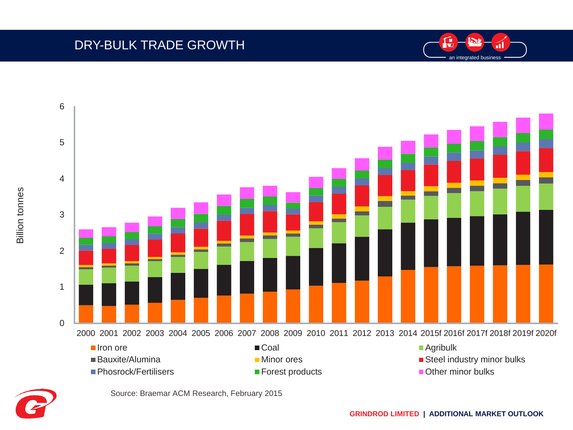## DRY-BULK TRADE GROWTH





2000 2001 2002 2003 2004 2005 2006 2007 2008 2009 2010 2011 2012 2013 2014 2015f 2016f 2017f 2018f 2019f 2020f

- Iron ore Coal Coal Coal Agribulk
	-
- 
- Bauxite/Alumina Minor ores The Minor ores The Steel industry minor bulks
- Phosrock/Fertilisers Forest products Forest products Forest products Forest products Forest products Forest products



Source: Braemar ACM Research, February 2015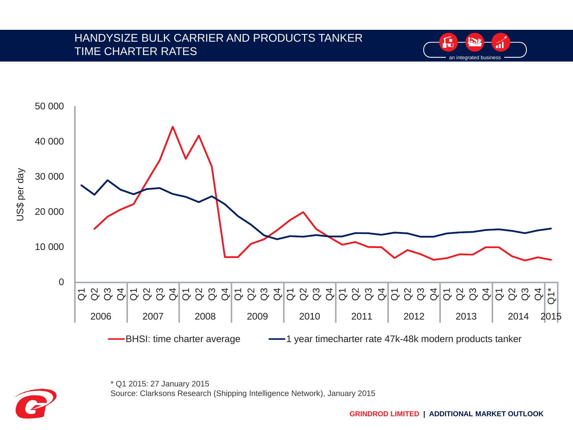#### HANDYSIZE BULK CARRIER AND PRODUCTS TANKER TIME CHARTER RATES





\* Q1 2015: 27 January 2015 Source: Clarksons Research (Shipping Intelligence Network), January 2015 an integrated business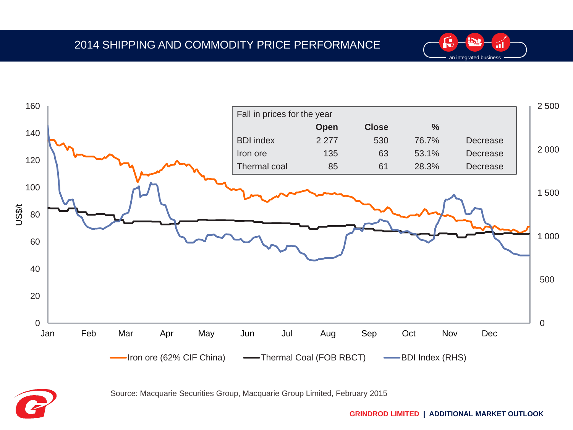



Source: Macquarie Securities Group, Macquarie Group Limited, February 2015

**GRINDROD LIMITED | ADDITIONAL MARKET OUTLOOK**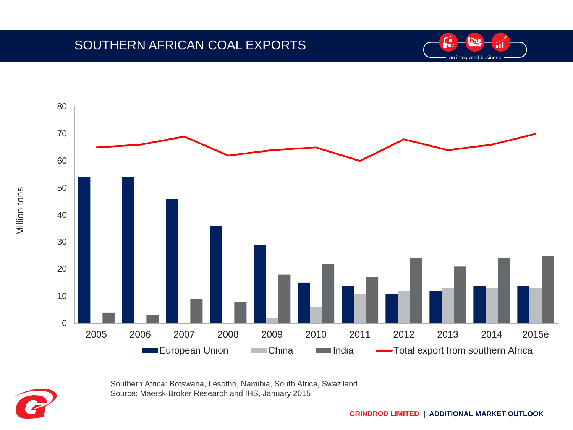#### SOUTHERN AFRICAN COAL EXPORTS





Southern Africa: Botswana, Lesotho, Namibia, South Africa, Swaziland Source: Maersk Broker Research and IHS, January 2015

Million tons

**GRINDROD LIMITED | ADDITIONAL MARKET OUTLOOK**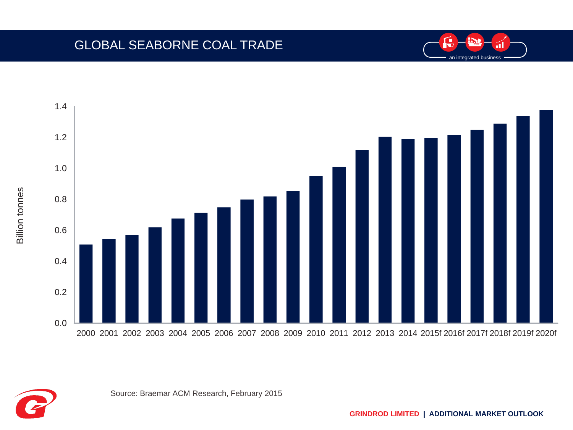### GLOBAL SEABORNE COAL TRADE





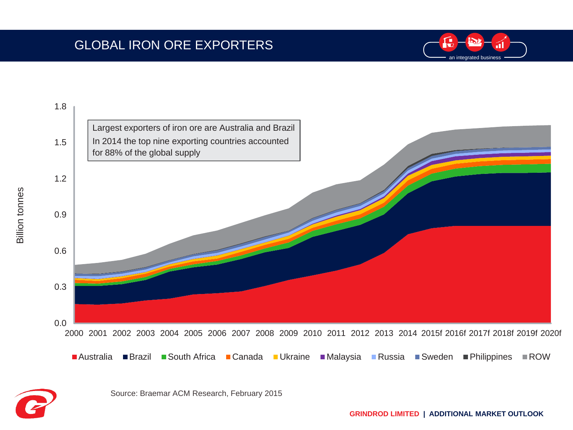## GLOBAL IRON ORE EXPORTERS







Source: Braemar ACM Research, February 2015

**GRINDROD LIMITED | ADDITIONAL MARKET OUTLOOK**